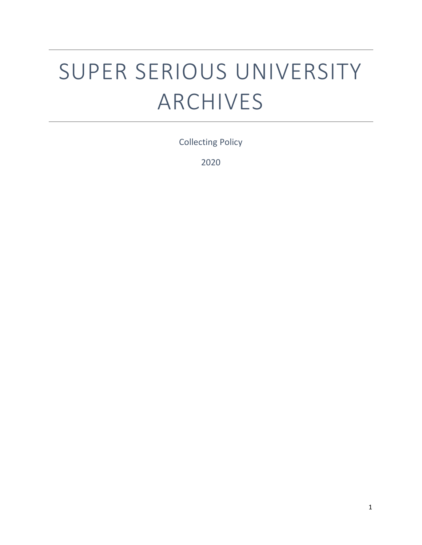# SUPER SERIOUS UNIVERSITY ARCHIVES

Collecting Policy

2020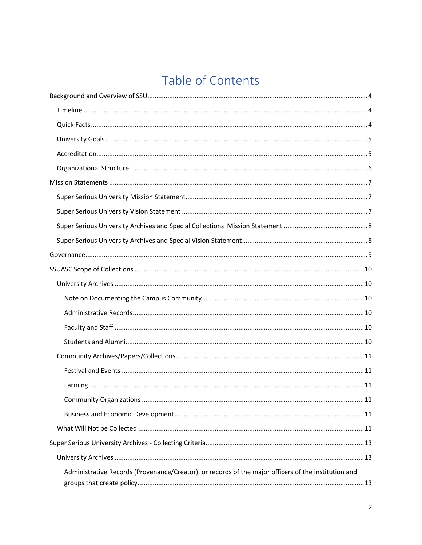# Table of Contents

| Administrative Records (Provenance/Creator), or records of the major officers of the institution and |  |
|------------------------------------------------------------------------------------------------------|--|
|                                                                                                      |  |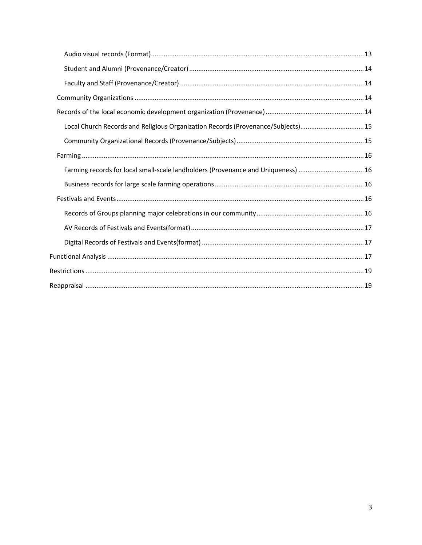<span id="page-2-0"></span>

| Local Church Records and Religious Organization Records (Provenance/Subjects)15   |  |
|-----------------------------------------------------------------------------------|--|
|                                                                                   |  |
|                                                                                   |  |
| Farming records for local small-scale landholders (Provenance and Uniqueness)  16 |  |
|                                                                                   |  |
|                                                                                   |  |
|                                                                                   |  |
|                                                                                   |  |
|                                                                                   |  |
|                                                                                   |  |
|                                                                                   |  |
|                                                                                   |  |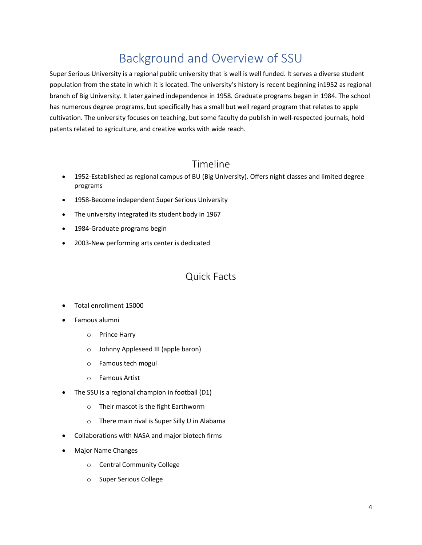# Background and Overview of SSU

Super Serious University is a regional public university that is well is well funded. It serves a diverse student population from the state in which it is located. The university's history is recent beginning in1952 as regional branch of Big University. It later gained independence in 1958. Graduate programs began in 1984. The school has numerous degree programs, but specifically has a small but well regard program that relates to apple cultivation. The university focuses on teaching, but some faculty do publish in well-respected journals, hold patents related to agriculture, and creative works with wide reach.

#### Timeline

- <span id="page-3-0"></span>• 1952-Established as regional campus of BU (Big University). Offers night classes and limited degree programs
- 1958-Become independent Super Serious University
- The university integrated its student body in 1967
- 1984-Graduate programs begin
- <span id="page-3-1"></span>• 2003-New performing arts center is dedicated

#### Quick Facts

- Total enrollment 15000
- Famous alumni
	- o Prince Harry
	- o Johnny Appleseed III (apple baron)
	- o Famous tech mogul
	- o Famous Artist
- The SSU is a regional champion in football (D1)
	- o Their mascot is the fight Earthworm
	- o There main rival is Super Silly U in Alabama
- Collaborations with NASA and major biotech firms
- Major Name Changes
	- o Central Community College
	- o Super Serious College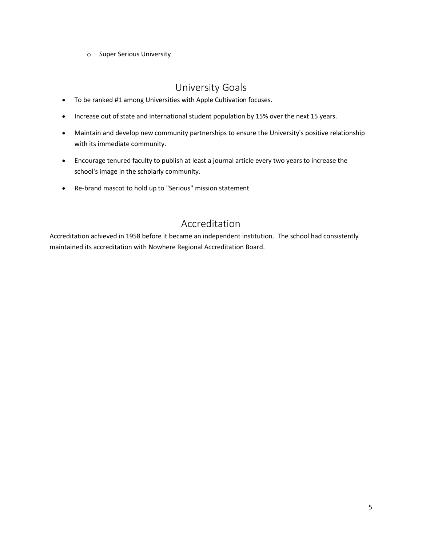o Super Serious University

#### University Goals

- <span id="page-4-0"></span>• To be ranked #1 among Universities with Apple Cultivation focuses.
- Increase out of state and international student population by 15% over the next 15 years.
- Maintain and develop new community partnerships to ensure the University's positive relationship with its immediate community.
- Encourage tenured faculty to publish at least a journal article every two years to increase the school's image in the scholarly community.
- Re-brand mascot to hold up to "Serious" mission statement

#### Accreditation

<span id="page-4-1"></span>Accreditation achieved in 1958 before it became an independent institution. The school had consistently maintained its accreditation with Nowhere Regional Accreditation Board.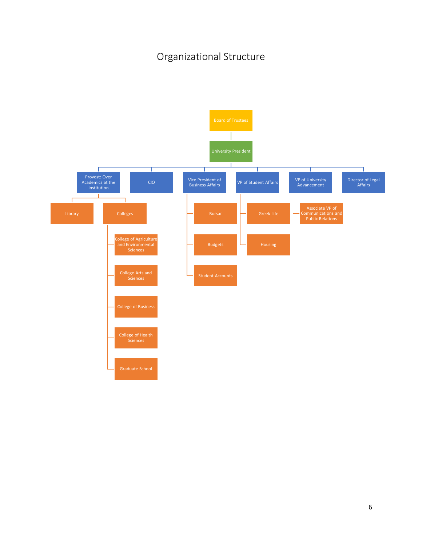## Organizational Structure

<span id="page-5-0"></span>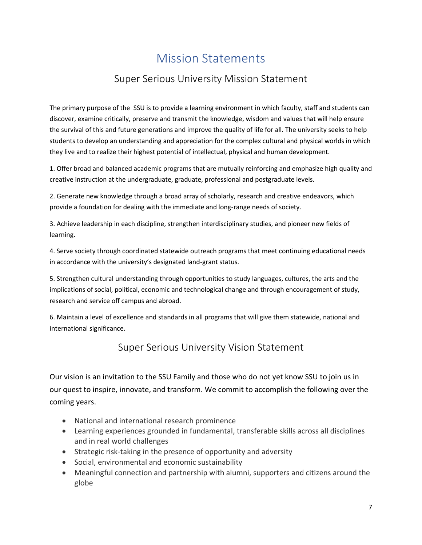# Mission Statements

### Super Serious University Mission Statement

<span id="page-6-1"></span><span id="page-6-0"></span>The primary purpose of the SSU is to provide a learning environment in which faculty, staff and students can discover, examine critically, preserve and transmit the knowledge, wisdom and values that will help ensure the survival of this and future generations and improve the quality of life for all. The university seeks to help students to develop an understanding and appreciation for the complex cultural and physical worlds in which they live and to realize their highest potential of intellectual, physical and human development.

1. Offer broad and balanced academic programs that are mutually reinforcing and emphasize high quality and creative instruction at the undergraduate, graduate, professional and postgraduate levels.

2. Generate new knowledge through a broad array of scholarly, research and creative endeavors, which provide a foundation for dealing with the immediate and long-range needs of society.

3. Achieve leadership in each discipline, strengthen interdisciplinary studies, and pioneer new fields of learning.

4. Serve society through coordinated statewide outreach programs that meet continuing educational needs in accordance with the university's designated land-grant status.

5. Strengthen cultural understanding through opportunities to study languages, cultures, the arts and the implications of social, political, economic and technological change and through encouragement of study, research and service off campus and abroad.

<span id="page-6-2"></span>6. Maintain a level of excellence and standards in all programs that will give them statewide, national and international significance.

#### Super Serious University Vision Statement

Our vision is an invitation to the SSU Family and those who do not yet know SSU to join us in our quest to inspire, innovate, and transform. We commit to accomplish the following over the coming years.

- National and international research prominence
- Learning experiences grounded in fundamental, transferable skills across all disciplines and in real world challenges
- Strategic risk-taking in the presence of opportunity and adversity
- Social, environmental and economic sustainability
- Meaningful connection and partnership with alumni, supporters and citizens around the globe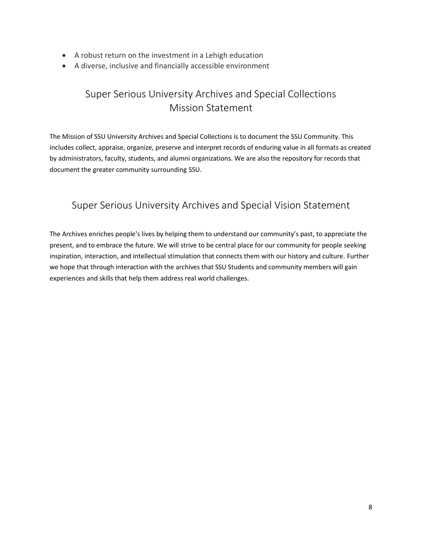- A robust return on the investment in a Lehigh education
- <span id="page-7-0"></span>• A diverse, inclusive and financially accessible environment

## Super Serious University Archives and Special Collections Mission Statement

The Mission of SSU University Archives and Special Collections is to document the SSU Community. This includes collect, appraise, organize, preserve and interpret records of enduring value in all formats as created by administrators, faculty, students, and alumni organizations. We are also the repository for records that document the greater community surrounding SSU.

#### <span id="page-7-1"></span>Super Serious University Archives and Special Vision Statement

The Archives enriches people's lives by helping them to understand our community's past, to appreciate the present, and to embrace the future. We will strive to be central place for our community for people seeking inspiration, interaction, and intellectual stimulation that connects them with our history and culture. Further we hope that through interaction with the archives that SSU Students and community members will gain experiences and skills that help them address real world challenges.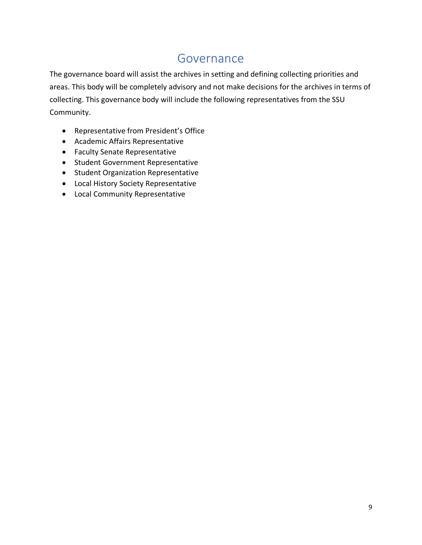## Governance

<span id="page-8-0"></span>The governance board will assist the archives in setting and defining collecting priorities and areas. This body will be completely advisory and not make decisions for the archives in terms of collecting. This governance body will include the following representatives from the SSU Community.

- Representative from President's Office
- Academic Affairs Representative
- Faculty Senate Representative
- Student Government Representative
- Student Organization Representative
- Local History Society Representative
- Local Community Representative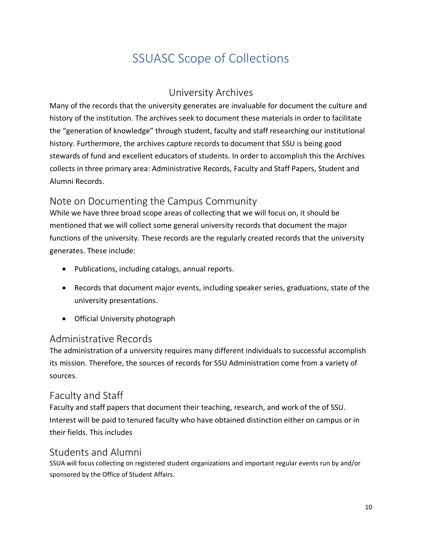# SSUASC Scope of Collections

#### University Archives

<span id="page-9-1"></span><span id="page-9-0"></span>Many of the records that the university generates are invaluable for document the culture and history of the institution. The archives seek to document these materials in order to facilitate the "generation of knowledge" through student, faculty and staff researching our institutional history. Furthermore, the archives capture records to document that SSU is being good stewards of fund and excellent educators of students. In order to accomplish this the Archives collects in three primary area: Administrative Records, Faculty and Staff Papers, Student and Alumni Records.

#### <span id="page-9-2"></span>Note on Documenting the Campus Community

While we have three broad scope areas of collecting that we will focus on, it should be mentioned that we will collect some general university records that document the major functions of the university. These records are the regularly created records that the university generates. These include:

- Publications, including catalogs, annual reports.
- Records that document major events, including speaker series, graduations, state of the university presentations.
- Official University photograph

#### <span id="page-9-3"></span>Administrative Records

The administration of a university requires many different individuals to successful accomplish its mission. Therefore, the sources of records for SSU Administration come from a variety of sources.

#### <span id="page-9-4"></span>Faculty and Staff

Faculty and staff papers that document their teaching, research, and work of the of SSU. Interest will be paid to tenured faculty who have obtained distinction either on campus or in their fields. This includes

#### <span id="page-9-5"></span>Students and Alumni

SSUA will focus collecting on registered student organizations and important regular events run by and/or sponsored by the Office of Student Affairs.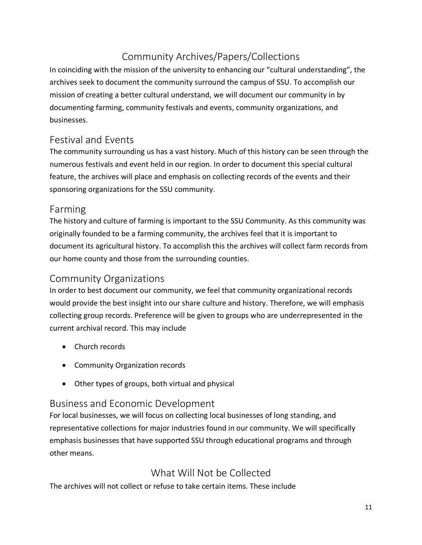## Community Archives/Papers/Collections

<span id="page-10-0"></span>In coinciding with the mission of the university to enhancing our "cultural understanding", the archives seek to document the community surround the campus of SSU. To accomplish our mission of creating a better cultural understand, we will document our community in by documenting farming, community festivals and events, community organizations, and businesses.

#### <span id="page-10-1"></span>Festival and Events

The community surrounding us has a vast history. Much of this history can be seen through the numerous festivals and event held in our region. In order to document this special cultural feature, the archives will place and emphasis on collecting records of the events and their sponsoring organizations for the SSU community.

#### <span id="page-10-2"></span>Farming

The history and culture of farming is important to the SSU Community. As this community was originally founded to be a farming community, the archives feel that it is important to document its agricultural history. To accomplish this the archives will collect farm records from our home county and those from the surrounding counties.

#### <span id="page-10-3"></span>Community Organizations

In order to best document our community, we feel that community organizational records would provide the best insight into our share culture and history. Therefore, we will emphasis collecting group records. Preference will be given to groups who are underrepresented in the current archival record. This may include

- Church records
- Community Organization records
- Other types of groups, both virtual and physical

#### <span id="page-10-4"></span>Business and Economic Development

For local businesses, we will focus on collecting local businesses of long standing, and representative collections for major industries found in our community. We will specifically emphasis businesses that have supported SSU through educational programs and through other means.

#### What Will Not be Collected

<span id="page-10-5"></span>The archives will not collect or refuse to take certain items. These include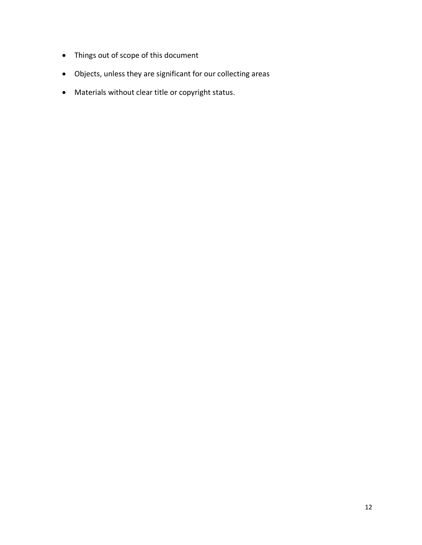- Things out of scope of this document
- Objects, unless they are significant for our collecting areas
- Materials without clear title or copyright status.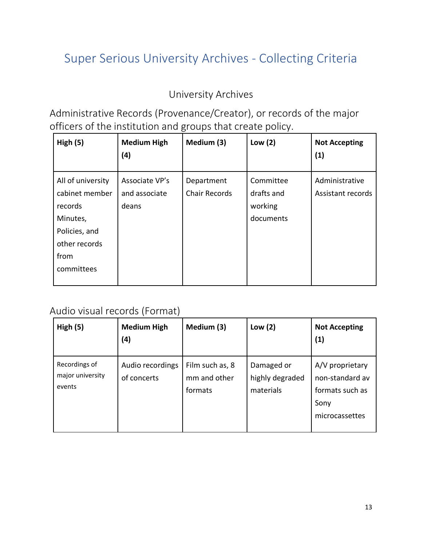# <span id="page-12-0"></span>Super Serious University Archives - Collecting Criteria

## University Archives

<span id="page-12-2"></span><span id="page-12-1"></span>Administrative Records (Provenance/Creator), or records of the major officers of the institution and groups that create policy.

| High(5)                                                                                                            | <b>Medium High</b><br>(4)                | Medium (3)                         | Low $(2)$                                       | <b>Not Accepting</b><br>(1)         |
|--------------------------------------------------------------------------------------------------------------------|------------------------------------------|------------------------------------|-------------------------------------------------|-------------------------------------|
| All of university<br>cabinet member<br>records<br>Minutes,<br>Policies, and<br>other records<br>from<br>committees | Associate VP's<br>and associate<br>deans | Department<br><b>Chair Records</b> | Committee<br>drafts and<br>working<br>documents | Administrative<br>Assistant records |

#### <span id="page-12-3"></span>Audio visual records (Format)

| High(5)                                     | <b>Medium High</b><br>(4)       | Medium (3)                                 | Low $(2)$                                  | <b>Not Accepting</b><br>(1)                                                     |
|---------------------------------------------|---------------------------------|--------------------------------------------|--------------------------------------------|---------------------------------------------------------------------------------|
| Recordings of<br>major university<br>events | Audio recordings<br>of concerts | Film such as, 8<br>mm and other<br>formats | Damaged or<br>highly degraded<br>materials | A/V proprietary<br>non-standard av<br>formats such as<br>Sony<br>microcassettes |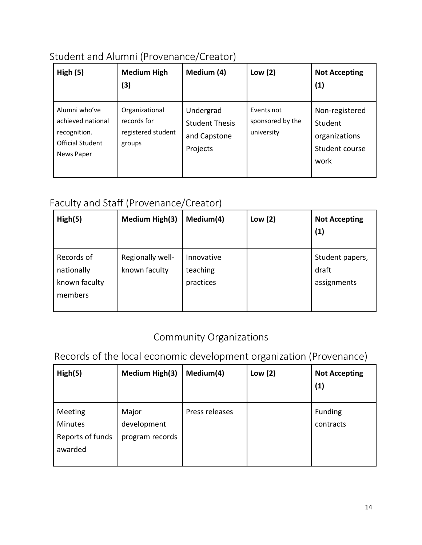## <span id="page-13-0"></span>Student and Alumni (Provenance/Creator)

| High $(5)$                                                                                  | <b>Medium High</b><br>(3)                                     | Medium (4)                                                     | Low $(2)$                                    | <b>Not Accepting</b><br>(1)                                          |
|---------------------------------------------------------------------------------------------|---------------------------------------------------------------|----------------------------------------------------------------|----------------------------------------------|----------------------------------------------------------------------|
| Alumni who've<br>achieved national<br>recognition.<br><b>Official Student</b><br>News Paper | Organizational<br>records for<br>registered student<br>groups | Undergrad<br><b>Student Thesis</b><br>and Capstone<br>Projects | Events not<br>sponsored by the<br>university | Non-registered<br>Student<br>organizations<br>Student course<br>work |

## <span id="page-13-1"></span>Faculty and Staff (Provenance/Creator)

| High(5)                                              | <b>Medium High(3)</b>             | Medium(4)                           | Low $(2)$ | <b>Not Accepting</b><br>(1)             |
|------------------------------------------------------|-----------------------------------|-------------------------------------|-----------|-----------------------------------------|
| Records of<br>nationally<br>known faculty<br>members | Regionally well-<br>known faculty | Innovative<br>teaching<br>practices |           | Student papers,<br>draft<br>assignments |

## Community Organizations

<span id="page-13-3"></span><span id="page-13-2"></span>Records of the local economic development organization (Provenance)

| High(5)                                           | Medium High(3)                          | Medium(4)      | Low $(2)$ | <b>Not Accepting</b><br>(1) |
|---------------------------------------------------|-----------------------------------------|----------------|-----------|-----------------------------|
| Meeting<br>Minutes<br>Reports of funds<br>awarded | Major<br>development<br>program records | Press releases |           | Funding<br>contracts        |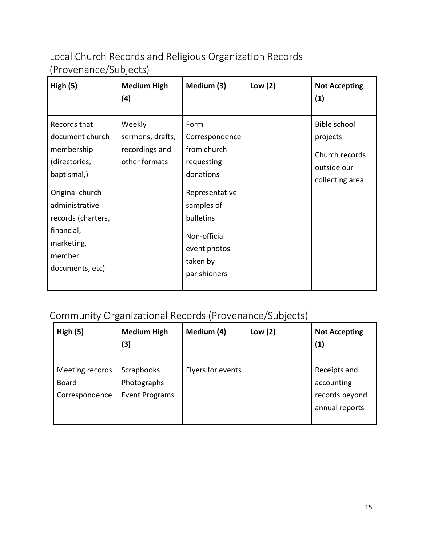<span id="page-14-0"></span>Local Church Records and Religious Organization Records (Provenance/Subjects)

| High(5)                                                                                                                                                                                           | <b>Medium High</b><br>(4)                                     | Medium (3)                                                                                                                                                                | Low $(2)$ | <b>Not Accepting</b><br>(1)                                                          |
|---------------------------------------------------------------------------------------------------------------------------------------------------------------------------------------------------|---------------------------------------------------------------|---------------------------------------------------------------------------------------------------------------------------------------------------------------------------|-----------|--------------------------------------------------------------------------------------|
| Records that<br>document church<br>membership<br>(directories,<br>baptismal,)<br>Original church<br>administrative<br>records (charters,<br>financial,<br>marketing,<br>member<br>documents, etc) | Weekly<br>sermons, drafts,<br>recordings and<br>other formats | Form<br>Correspondence<br>from church<br>requesting<br>donations<br>Representative<br>samples of<br>bulletins<br>Non-official<br>event photos<br>taken by<br>parishioners |           | <b>Bible school</b><br>projects<br>Church records<br>outside our<br>collecting area. |

## <span id="page-14-1"></span>Community Organizational Records (Provenance/Subjects)

| High(5)                                           | <b>Medium High</b><br>(3)                                 | Medium (4)        | Low $(2)$ | <b>Not Accepting</b><br>(1)                                    |
|---------------------------------------------------|-----------------------------------------------------------|-------------------|-----------|----------------------------------------------------------------|
| Meeting records<br><b>Board</b><br>Correspondence | <b>Scrapbooks</b><br>Photographs<br><b>Event Programs</b> | Flyers for events |           | Receipts and<br>accounting<br>records beyond<br>annual reports |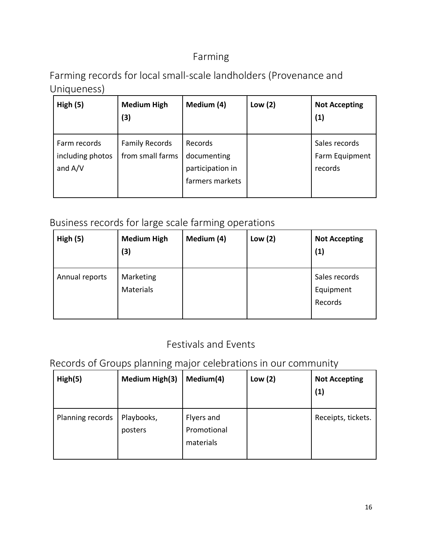## Farming

<span id="page-15-1"></span><span id="page-15-0"></span>Farming records for local small-scale landholders (Provenance and Uniqueness)

| High(5)                                       | <b>Medium High</b><br>(3)                 | Medium (4)                                                    | Low $(2)$ | <b>Not Accepting</b><br>(1)                |
|-----------------------------------------------|-------------------------------------------|---------------------------------------------------------------|-----------|--------------------------------------------|
| Farm records<br>including photos<br>and $A/V$ | <b>Family Records</b><br>from small farms | Records<br>documenting<br>participation in<br>farmers markets |           | Sales records<br>Farm Equipment<br>records |

## <span id="page-15-2"></span>Business records for large scale farming operations

| High(5)        | <b>Medium High</b><br>(3)     | Medium (4) | Low $(2)$ | <b>Not Accepting</b><br>(1)           |
|----------------|-------------------------------|------------|-----------|---------------------------------------|
| Annual reports | Marketing<br><b>Materials</b> |            |           | Sales records<br>Equipment<br>Records |

## Festivals and Events

## <span id="page-15-4"></span><span id="page-15-3"></span>Records of Groups planning major celebrations in our community

| High(5)          | <b>Medium High(3)</b> | Medium(4)                              | Low $(2)$ | <b>Not Accepting</b><br>(1) |
|------------------|-----------------------|----------------------------------------|-----------|-----------------------------|
| Planning records | Playbooks,<br>posters | Flyers and<br>Promotional<br>materials |           | Receipts, tickets.          |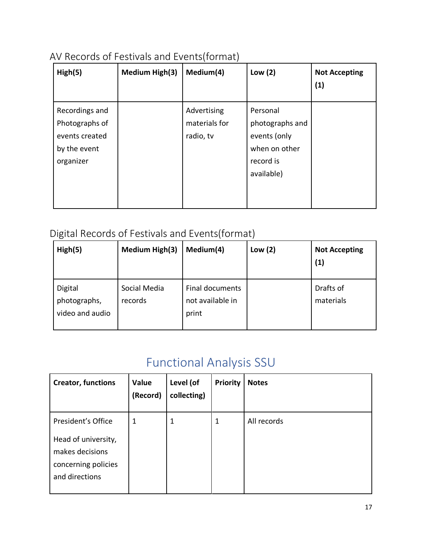## <span id="page-16-0"></span>AV Records of Festivals and Events(format)

| High(5)                                                                         | <b>Medium High(3)</b> | Medium(4)                                 | Low $(2)$                                                                               | <b>Not Accepting</b><br>(1) |
|---------------------------------------------------------------------------------|-----------------------|-------------------------------------------|-----------------------------------------------------------------------------------------|-----------------------------|
| Recordings and<br>Photographs of<br>events created<br>by the event<br>organizer |                       | Advertising<br>materials for<br>radio, tv | Personal<br>photographs and<br>events (only<br>when on other<br>record is<br>available) |                             |

## <span id="page-16-1"></span>Digital Records of Festivals and Events(format)

| High(5)                                    | <b>Medium High(3)</b>   | Medium(4)                                    | Low $(2)$ | <b>Not Accepting</b><br>(1) |
|--------------------------------------------|-------------------------|----------------------------------------------|-----------|-----------------------------|
| Digital<br>photographs,<br>video and audio | Social Media<br>records | Final documents<br>not available in<br>print |           | Drafts of<br>materials      |

# Functional Analysis SSU

<span id="page-16-2"></span>

| <b>Creator, functions</b>                                                                             | Value<br>(Record) | Level (of<br>collecting) | <b>Priority</b> | <b>Notes</b> |
|-------------------------------------------------------------------------------------------------------|-------------------|--------------------------|-----------------|--------------|
| President's Office<br>Head of university,<br>makes decisions<br>concerning policies<br>and directions | 1                 | 1                        | 1               | All records  |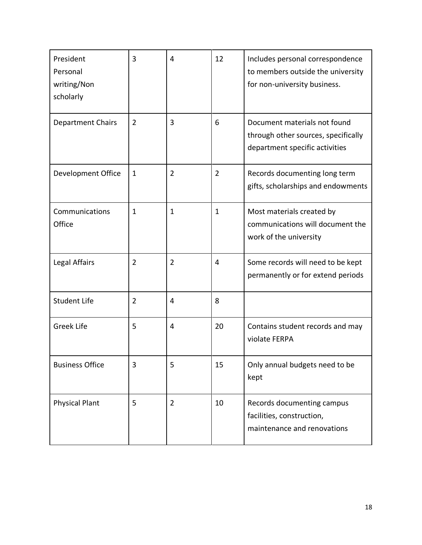| President<br>Personal<br>writing/Non<br>scholarly | 3              | 4              | 12             | Includes personal correspondence<br>to members outside the university<br>for non-university business. |
|---------------------------------------------------|----------------|----------------|----------------|-------------------------------------------------------------------------------------------------------|
| <b>Department Chairs</b>                          | $\overline{2}$ | 3              | 6              | Document materials not found<br>through other sources, specifically<br>department specific activities |
| Development Office                                | $\mathbf{1}$   | $\overline{2}$ | $\overline{2}$ | Records documenting long term<br>gifts, scholarships and endowments                                   |
| Communications<br>Office                          | $\mathbf{1}$   | $\mathbf{1}$   | $\mathbf{1}$   | Most materials created by<br>communications will document the<br>work of the university               |
| Legal Affairs                                     | $\overline{2}$ | 2              | 4              | Some records will need to be kept<br>permanently or for extend periods                                |
| <b>Student Life</b>                               | $\overline{2}$ | 4              | 8              |                                                                                                       |
| <b>Greek Life</b>                                 | 5              | 4              | 20             | Contains student records and may<br>violate FERPA                                                     |
| <b>Business Office</b>                            | 3              | 5              | 15             | Only annual budgets need to be<br>kept                                                                |
| <b>Physical Plant</b>                             | 5              | $\overline{2}$ | 10             | Records documenting campus<br>facilities, construction,<br>maintenance and renovations                |